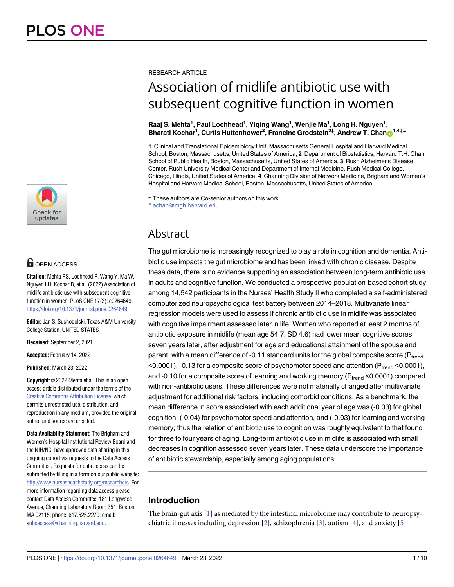

# **OPEN ACCESS**

**Citation:** Mehta RS, Lochhead P, Wang Y, Ma W, Nguyen LH, Kochar B, et al. (2022) Association of midlife antibiotic use with subsequent cognitive function in women. PLoS ONE 17(3): e0264649. <https://doi.org/10.1371/journal.pone.0264649>

**Editor:** Jan S. Suchodolski, Texas A&M University College Station, UNITED STATES

**Received:** September 2, 2021

**Accepted:** February 14, 2022

**Published:** March 23, 2022

**Copyright:** © 2022 Mehta et al. This is an open access article distributed under the terms of the Creative Commons [Attribution](http://creativecommons.org/licenses/by/4.0/) License, which permits unrestricted use, distribution, and reproduction in any medium, provided the original author and source are credited.

**Data Availability Statement:** The Brigham and Women's Hospital Institutional Review Board and the NIH/NCI have approved data sharing in this ongoing cohort via requests to the Data Access Committee. Requests for data access can be submitted by filling in a form on our public website: [http://www.nurseshealthstudy.org/researchers.](http://www.nurseshealthstudy.org/researchers) For more information regarding data access please contact Data Access Committee, 181 Longwood Avenue, Channing Laboratory Room 351, Boston, MA 02115; phone: 617.525.2279; email: [snhsaccess@channing.harvard.edu](mailto:nhsaccess@channing.harvard.edu).

#### <span id="page-0-0"></span>RESEARCH ARTICLE

# Association of midlife antibiotic use with subsequent cognitive function in women

#### **Raaj S. Mehta1 , Paul Lochhead1 , Yiqing Wang1 , Wenjie Ma1 , Long H. Nguyen1 ,**  $B$ harati Kochar<sup>1</sup>, Curtis Huttenhower<sup>2</sup>, Francine Grodstein<sup>3‡</sup>, Andrew T. Chan $\bigcirc^{\frac{1}{44} }$

**1** Clinical and Translational Epidemiology Unit, Massachusetts General Hospital and Harvard Medical School, Boston, Massachusetts, United States of America, **2** Department of Biostatistics, Harvard T.H. Chan School of Public Health, Boston, Massachusetts, United States of America, **3** Rush Alzheimer's Disease Center, Rush University Medical Center and Department of Internal Medicine, Rush Medical College, Chicago, Illinois, United States of America, **4** Channing Division of Network Medicine, Brigham and Women's Hospital and Harvard Medical School, Boston, Massachusetts, United States of America

‡ These authors are Co-senior authors on this work.

\* achan@mgh.harvard.edu

# Abstract

The gut microbiome is increasingly recognized to play a role in cognition and dementia. Antibiotic use impacts the gut microbiome and has been linked with chronic disease. Despite these data, there is no evidence supporting an association between long-term antibiotic use in adults and cognitive function. We conducted a prospective population-based cohort study among 14,542 participants in the Nurses' Health Study II who completed a self-administered computerized neuropsychological test battery between 2014–2018. Multivariate linear regression models were used to assess if chronic antibiotic use in midlife was associated with cognitive impairment assessed later in life. Women who reported at least 2 months of antibiotic exposure in midlife (mean age 54.7, SD 4.6) had lower mean cognitive scores seven years later, after adjustment for age and educational attainment of the spouse and parent, with a mean difference of -0.11 standard units for the global composite score ( $P_{trend}$ )  $<$ 0.0001), -0.13 for a composite score of psychomotor speed and attention (P<sub>trend</sub>  $<$ 0.0001), and -0.10 for a composite score of learning and working memory ( $P_{trend}$  <0.0001) compared with non-antibiotic users. These differences were not materially changed after multivariate adjustment for additional risk factors, including comorbid conditions. As a benchmark, the mean difference in score associated with each additional year of age was (-0.03) for global cognition, (-0.04) for psychomotor speed and attention, and (-0.03) for learning and working memory; thus the relation of antibiotic use to cognition was roughly equivalent to that found for three to four years of aging. Long-term antibiotic use in midlife is associated with small decreases in cognition assessed seven years later. These data underscore the importance of antibiotic stewardship, especially among aging populations.

# **Introduction**

The brain-gut axis [[1](#page-7-0)] as mediated by the intestinal microbiome may contribute to neuropsy-chiatric illnesses including depression [\[2\]](#page-7-0), schizophrenia [\[3\]](#page-7-0), autism [\[4](#page-7-0)], and anxiety [[5\]](#page-7-0).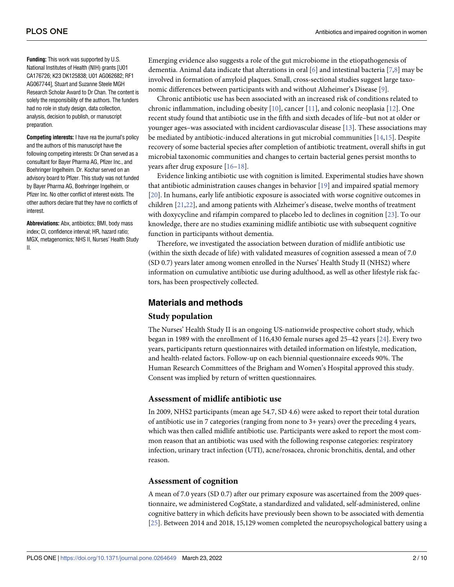<span id="page-1-0"></span>**Funding:** This work was supported by U.S. National Institutes of Health (NIH) grants [U01 CA176726; K23 DK125838; U01 AG062682; RF1 AG067744], Stuart and Suzanne Steele MGH Research Scholar Award to Dr Chan. The content is solely the responsibility of the authors. The funders had no role in study design, data collection, analysis, decision to publish, or manuscript preparation.

**Competing interests:** I have rea the journal's policy and the authors of this manuscript have the following competing interests: Dr Chan served as a consultant for Bayer Pharma AG, Pfizer Inc., and Boehringer Ingelheim. Dr. Kochar served on an advisory board to Pfizer. This study was not funded by Bayer Pharma AG, Boehringer Ingelheim, or Pfizer Inc. No other conflict of interest exists. The other authors declare that they have no conflicts of interest.

**Abbreviations:** Abx, antibiotics; BMI, body mass index; CI, confidence interval; HR, hazard ratio; MGX, metagenomics; NHS II, Nurses' Health Study II.

Emerging evidence also suggests a role of the gut microbiome in the etiopathogenesis of dementia. Animal data indicate that alterations in oral [[6](#page-7-0)] and intestinal bacteria [[7](#page-7-0),[8](#page-7-0)] may be involved in formation of amyloid plaques. Small, cross-sectional studies suggest large taxonomic differences between participants with and without Alzheimer's Disease [\[9](#page-8-0)].

Chronic antibiotic use has been associated with an increased risk of conditions related to chronic inflammation, including obesity  $[10]$ , cancer  $[11]$  $[11]$  $[11]$ , and colonic neoplasia  $[12]$  $[12]$  $[12]$ . One recent study found that antibiotic use in the fifth and sixth decades of life–but not at older or younger ages–was associated with incident cardiovascular disease [[13](#page-8-0)]. These associations may be mediated by antibiotic-induced alterations in gut microbial communities [[14,15\]](#page-8-0). Despite recovery of some bacterial species after completion of antibiotic treatment, overall shifts in gut microbial taxonomic communities and changes to certain bacterial genes persist months to years after drug exposure [[16–18\]](#page-8-0).

Evidence linking antibiotic use with cognition is limited. Experimental studies have shown that antibiotic administration causes changes in behavior [\[19\]](#page-8-0) and impaired spatial memory [\[20\]](#page-8-0). In humans, early life antibiotic exposure is associated with worse cognitive outcomes in children [[21](#page-8-0),[22](#page-8-0)], and among patients with Alzheimer's disease, twelve months of treatment with doxycycline and rifampin compared to placebo led to declines in cognition [[23](#page-8-0)]. To our knowledge, there are no studies examining midlife antibiotic use with subsequent cognitive function in participants without dementia.

Therefore, we investigated the association between duration of midlife antibiotic use (within the sixth decade of life) with validated measures of cognition assessed a mean of 7.0 (SD 0.7) years later among women enrolled in the Nurses' Health Study II (NHS2) where information on cumulative antibiotic use during adulthood, as well as other lifestyle risk factors, has been prospectively collected.

## **Materials and methods**

#### **Study population**

The Nurses' Health Study II is an ongoing US-nationwide prospective cohort study, which began in 1989 with the enrollment of 116,430 female nurses aged 25–42 years [[24](#page-8-0)]. Every two years, participants return questionnaires with detailed information on lifestyle, medication, and health-related factors. Follow-up on each biennial questionnaire exceeds 90%. The Human Research Committees of the Brigham and Women's Hospital approved this study. Consent was implied by return of written questionnaires.

### **Assessment of midlife antibiotic use**

In 2009, NHS2 participants (mean age 54.7, SD 4.6) were asked to report their total duration of antibiotic use in 7 categories (ranging from none to 3+ years) over the preceding 4 years, which was then called midlife antibiotic use. Participants were asked to report the most common reason that an antibiotic was used with the following response categories: respiratory infection, urinary tract infection (UTI), acne/rosacea, chronic bronchitis, dental, and other reason.

#### **Assessment of cognition**

A mean of 7.0 years (SD 0.7) after our primary exposure was ascertained from the 2009 questionnaire, we administered CogState, a standardized and validated, self-administered, online cognitive battery in which deficits have previously been shown to be associated with dementia [\[25\]](#page-8-0). Between 2014 and 2018, 15,129 women completed the neuropsychological battery using a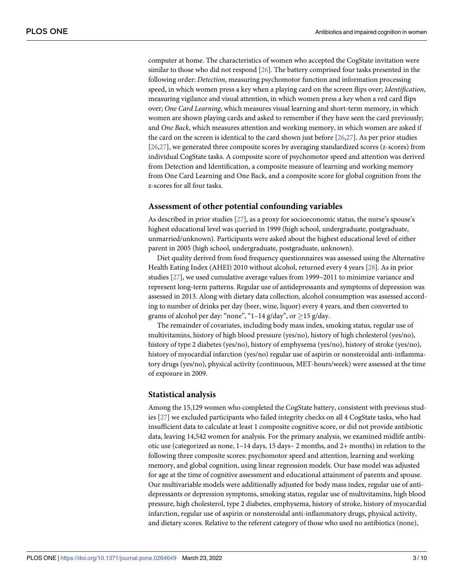<span id="page-2-0"></span>computer at home. The characteristics of women who accepted the CogState invitation were similar to those who did not respond [\[26\]](#page-8-0). The battery comprised four tasks presented in the following order: *Detection*, measuring psychomotor function and information processing speed, in which women press a key when a playing card on the screen flips over; *Identification*, measuring vigilance and visual attention, in which women press a key when a red card flips over; *One Card Learning*, which measures visual learning and short-term memory, in which women are shown playing cards and asked to remember if they have seen the card previously; and *One Back*, which measures attention and working memory, in which women are asked if the card on the screen is identical to the card shown just before [\[26,27\]](#page-8-0). As per prior studies [\[26,27\]](#page-8-0), we generated three composite scores by averaging standardized scores (z-scores) from individual CogState tasks. A composite score of psychomotor speed and attention was derived from Detection and Identification, a composite measure of learning and working memory from One Card Learning and One Back, and a composite score for global cognition from the z-scores for all four tasks.

#### **Assessment of other potential confounding variables**

As described in prior studies [\[27\]](#page-8-0), as a proxy for socioeconomic status, the nurse's spouse's highest educational level was queried in 1999 (high school, undergraduate, postgraduate, unmarried/unknown). Participants were asked about the highest educational level of either parent in 2005 (high school, undergraduate, postgraduate, unknown).

Diet quality derived from food frequency questionnaires was assessed using the Alternative Health Eating Index (AHEI) 2010 without alcohol, returned every 4 years [[28](#page-9-0)]. As in prior studies [\[27\]](#page-8-0), we used cumulative average values from 1999–2011 to minimize variance and represent long-term patterns. Regular use of antidepressants and symptoms of depression was assessed in 2013. Along with dietary data collection, alcohol consumption was assessed according to number of drinks per day (beer, wine, liquor) every 4 years, and then converted to grams of alcohol per day: "none", "1–14 g/day", or  $\geq$ 15 g/day.

The remainder of covariates, including body mass index, smoking status, regular use of multivitamins, history of high blood pressure (yes/no), history of high cholesterol (yes/no), history of type 2 diabetes (yes/no), history of emphysema (yes/no), history of stroke (yes/no), history of myocardial infarction (yes/no) regular use of aspirin or nonsteroidal anti-inflammatory drugs (yes/no), physical activity (continuous, MET-hours/week) were assessed at the time of exposure in 2009.

#### **Statistical analysis**

Among the 15,129 women who completed the CogState battery, consistent with previous studies [\[27\]](#page-8-0) we excluded participants who failed integrity checks on all 4 CogState tasks, who had insufficient data to calculate at least 1 composite cognitive score, or did not provide antibiotic data, leaving 14,542 women for analysis. For the primary analysis, we examined midlife antibiotic use (categorized as none, 1–14 days, 15 days– 2 months, and 2+ months) in relation to the following three composite scores: psychomotor speed and attention, learning and working memory, and global cognition, using linear regression models. Our base model was adjusted for age at the time of cognitive assessment and educational attainment of parents and spouse. Our multivariable models were additionally adjusted for body mass index, regular use of antidepressants or depression symptoms, smoking status, regular use of multivitamins, high blood pressure, high cholesterol, type 2 diabetes, emphysema, history of stroke, history of myocardial infarction, regular use of aspirin or nonsteroidal anti-inflammatory drugs, physical activity, and dietary scores. Relative to the referent category of those who used no antibiotics (none),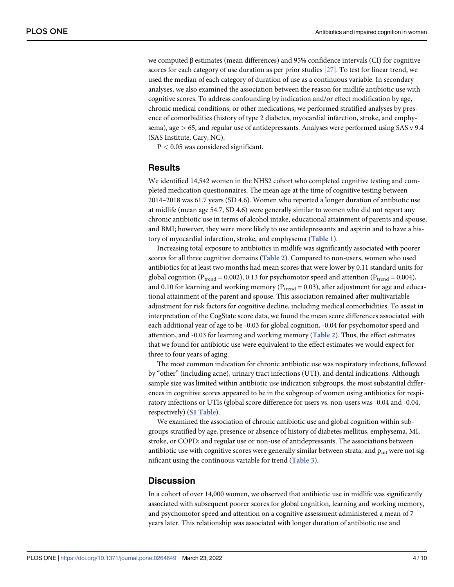<span id="page-3-0"></span>we computed β estimates (mean differences) and 95% confidence intervals (CI) for cognitive scores for each category of use duration as per prior studies [[27](#page-8-0)]. To test for linear trend, we used the median of each category of duration of use as a continuous variable. In secondary analyses, we also examined the association between the reason for midlife antibiotic use with cognitive scores. To address confounding by indication and/or effect modification by age, chronic medical conditions, or other medications, we performed stratified analyses by presence of comorbidities (history of type 2 diabetes, myocardial infarction, stroke, and emphysema), age *>* 65, and regular use of antidepressants. Analyses were performed using SAS v 9.4 (SAS Institute, Cary, NC).

P *<* 0.05 was considered significant.

#### **Results**

We identified 14,542 women in the NHS2 cohort who completed cognitive testing and completed medication questionnaires. The mean age at the time of cognitive testing between 2014–2018 was 61.7 years (SD 4.6). Women who reported a longer duration of antibiotic use at midlife (mean age 54.7, SD 4.6) were generally similar to women who did not report any chronic antibiotic use in terms of alcohol intake, educational attainment of parents and spouse, and BMI; however, they were more likely to use antidepressants and aspirin and to have a history of myocardial infarction, stroke, and emphysema (**[Table](#page-4-0) 1**).

Increasing total exposure to antibiotics in midlife was significantly associated with poorer scores for all three cognitive domains (**[Table](#page-5-0) 2**). Compared to non-users, women who used antibiotics for at least two months had mean scores that were lower by 0.11 standard units for global cognition ( $P_{trend} = 0.002$ ), 0.13 for psychomotor speed and attention ( $P_{trend} = 0.004$ ), and 0.10 for learning and working memory ( $P_{trend} = 0.03$ ), after adjustment for age and educational attainment of the parent and spouse. This association remained after multivariable adjustment for risk factors for cognitive decline, including medical comorbidities. To assist in interpretation of the CogState score data, we found the mean score differences associated with each additional year of age to be -0.03 for global cognition, -0.04 for psychomotor speed and attention, and -0.03 for learning and working memory (**[Table](#page-5-0) 2**). Thus, the effect estimates that we found for antibiotic use were equivalent to the effect estimates we would expect for three to four years of aging.

The most common indication for chronic antibiotic use was respiratory infections, followed by "other" (including acne), urinary tract infections (UTI), and dental indications. Although sample size was limited within antibiotic use indication subgroups, the most substantial differences in cognitive scores appeared to be in the subgroup of women using antibiotics for respiratory infections or UTIs (global score difference for users vs. non-users was -0.04 and -0.04, respectively) (**S1 [Table](#page-7-0)**).

We examined the association of chronic antibiotic use and global cognition within subgroups stratified by age, presence or absence of history of diabetes mellitus, emphysema, MI, stroke, or COPD; and regular use or non-use of antidepressants. The associations between antibiotic use with cognitive scores were generally similar between strata, and  $p_{int}$  were not significant using the continuous variable for trend (**[Table](#page-5-0) 3**).

#### **Discussion**

In a cohort of over 14,000 women, we observed that antibiotic use in midlife was significantly associated with subsequent poorer scores for global cognition, learning and working memory, and psychomotor speed and attention on a cognitive assessment administered a mean of 7 years later. This relationship was associated with longer duration of antibiotic use and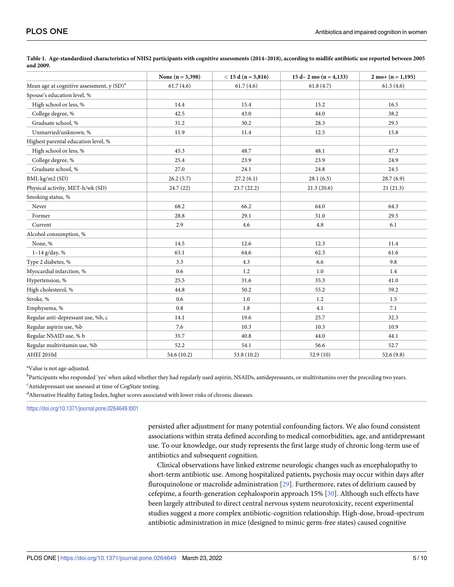|                                             | None $(n = 3, 398)$ | $< 15$ d (n = 5,816) | 15 d-2 mo (n = 4,133) | $2 \text{ mo} + (n = 1,195)$ |
|---------------------------------------------|---------------------|----------------------|-----------------------|------------------------------|
| Mean age at cognitive assessment, $y(SD)^a$ | 61.7(4.6)           | 61.7(4.6)            | 61.8(4.7)             | 61.5(4.6)                    |
| Spouse's education level, %                 |                     |                      |                       |                              |
| High school or less, %                      | 14.4                | 15.4                 | 15.2                  | 16.5                         |
| College degree, %                           | 42.5                | 43.0                 | 44.0                  | 38.2                         |
| Graduate school, %                          | 31.2                | 30.2                 | 28.3                  | 29.5                         |
| Unmarried/unknown, %                        | 11.9                | 11.4                 | 12.5                  | 15.8                         |
| Highest parental education level, %         |                     |                      |                       |                              |
| High school or less, %                      | 45.3                | 48.7                 | 48.1                  | 47.3                         |
| College degree, %                           | 25.4                | 23.9                 | 23.9                  | 24.9                         |
| Graduate school, %                          | 27.0                | 24.1                 | 24.8                  | 24.5                         |
| BMI, kg/m2 (SD)                             | 26.2(5.7)           | 27.2(6.1)            | 28.1(6.5)             | 28.7(6.9)                    |
| Physical activity, MET-h/wk (SD)            | 24.7(22)            | 23.7(22.2)           | 21.3(20.6)            | 21(21.3)                     |
| Smoking status, %                           |                     |                      |                       |                              |
| Never                                       | 68.2                | 66.2                 | 64.0                  | 64.3                         |
| Former                                      | 28.8                | 29.1                 | 31.0                  | 29.5                         |
| Current                                     | 2.9                 | 4.6                  | 4.8                   | 6.1                          |
| Alcohol consumption, %                      |                     |                      |                       |                              |
| None, %                                     | 14.5                | 12.6                 | 12.3                  | 11.4                         |
| $1 - 14$ g/day, %                           | 63.1                | 64.6                 | 62.3                  | 61.6                         |
| Type 2 diabetes, %                          | 3.3                 | 4.3                  | 6.6                   | 9.8                          |
| Myocardial infarction, %                    | 0.6                 | 1.2                  | 1.0                   | 1.4                          |
| Hypertension, %                             | 25.5                | 31.6                 | 35.3                  | 41.0                         |
| High cholesterol, %                         | 44.8                | 50.2                 | 55.2                  | 59.2                         |
| Stroke, %                                   | 0.6                 | 1.0                  | 1.2                   | 1.5                          |
| Emphysema, %                                | 0.8                 | 1.8                  | 4.1                   | 7.1                          |
| Regular anti-depressant use, %b, c          | 14.1                | 19.6                 | 25.7                  | 32.3                         |
| Regular aspirin use, %b                     | 7.6                 | 10.3                 | 10.3                  | 10.9                         |
| Regular NSAID use, % b                      | 35.7                | 40.8                 | 44.0                  | 44.1                         |
| Regular multivitamin use, %b                | 52.2                | 54.1                 | 56.6                  | 52.7                         |
| <b>AHEI 2010d</b>                           | 54.6 (10.2)         | 53.8 (10.2)          | 52.9(10)              | 52.6(9.8)                    |

<span id="page-4-0"></span>[Table](#page-3-0) 1. Age-standardized characteristics of NHS2 participants with cognitive assessments (2014-2018), according to midlife antibiotic use reported between 2005 **and 2009.**

<sup>a</sup>Value is not age-adjusted.

b<br>Participants who responded 'yes' when asked whether they had regularly used aspirin, NSAIDs, antidepressants, or multivitamins over the preceding two years. <sup>c</sup>Antidepressant use assessed at time of CogState testing.

d Alternative Healthy Eating Index, higher scores associated with lower risks of chronic diseases.

<https://doi.org/10.1371/journal.pone.0264649.t001>

persisted after adjustment for many potential confounding factors. We also found consistent associations within strata defined according to medical comorbidities, age, and antidepressant use. To our knowledge, our study represents the first large study of chronic long-term use of antibiotics and subsequent cognition.

Clinical observations have linked extreme neurologic changes such as encephalopathy to short-term antibiotic use. Among hospitalized patients, psychosis may occur within days after fluroquinolone or macrolide administration [[29](#page-9-0)]. Furthermore, rates of delirium caused by cefepime, a fourth-generation cephalosporin approach 15% [[30](#page-9-0)]. Although such effects have been largely attributed to direct central nervous system neurotoxicity, recent experimental studies suggest a more complex antibiotic-cognition relationship. High-dose, broad-spectrum antibiotic administration in mice (designed to mimic germ-free states) caused cognitive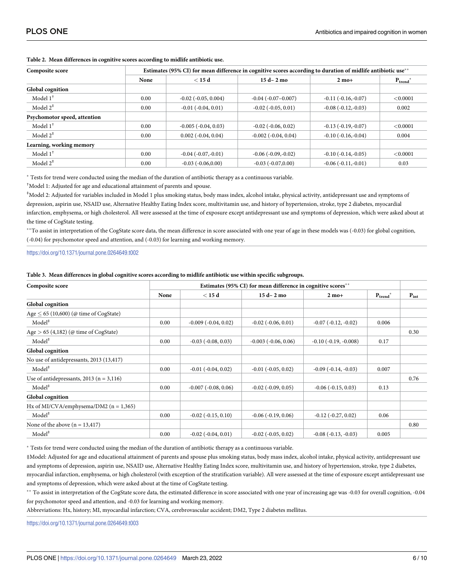| Composite score              | Estimates (95% CI) for mean difference in cognitive scores according to duration of midlife antibiotic use <sup>**</sup> |                               |                           |                      |             |  |
|------------------------------|--------------------------------------------------------------------------------------------------------------------------|-------------------------------|---------------------------|----------------------|-------------|--|
|                              | None                                                                                                                     | $<$ 15 d                      | $15d - 2mo$               | $2 \text{ mo}+$      | $P_{trend}$ |  |
| <b>Global cognition</b>      |                                                                                                                          |                               |                           |                      |             |  |
| Model $1^{\dagger}$          | 0.00                                                                                                                     | $-0.02$ ( $-0.05$ , $0.004$ ) | $-0.04$ $(-0.07 - 0.007)$ | $-0.11(-0.16,-0.07)$ | < 0.0001    |  |
| Model $2^{\ddagger}$         | 0.00                                                                                                                     | $-0.01$ $(-0.04, 0.01)$       | $-0.02$ $(-0.05, 0.01)$   | $-0.08(-0.12,-0.03)$ | 0.002       |  |
| Psychomotor speed, attention |                                                                                                                          |                               |                           |                      |             |  |
| Model $1^{\dagger}$          | 0.00                                                                                                                     | $-0.005$ $(-0.04, 0.03)$      | $-0.02$ $(-0.06, 0.02)$   | $-0.13(-0.19,-0.07)$ | < 0.0001    |  |
| Model $2^{\ddagger}$         | 0.00                                                                                                                     | $0.002$ ( $-0.04$ , $0.04$ )  | $-0.002$ $(-0.04, 0.04)$  | $-0.10(-0.16,-0.04)$ | 0.004       |  |
| Learning, working memory     |                                                                                                                          |                               |                           |                      |             |  |
| Model $1^{\dagger}$          | 0.00                                                                                                                     | $-0.04$ $(-0.07,-0.01)$       | $-0.06(-0.09,-0.02)$      | $-0.10(-0.14,-0.05)$ | < 0.0001    |  |
| Model $2^{\ddagger}$         | 0.00                                                                                                                     | $-0.03(-0.06, 0.00)$          | $-0.03(-0.07,0.00)$       | $-0.06(-0.11,-0.01)$ | 0.03        |  |

#### <span id="page-5-0"></span>**[Table](#page-3-0) 2. Mean differences in cognitive scores according to midlife antibiotic use.**

� Tests for trend were conducted using the median of the duration of antibiotic therapy as a continuous variable.

† Model 1: Adjusted for age and educational attainment of parents and spouse.

‡ Model 2: Adjusted for variables included in Model 1 plus smoking status, body mass index, alcohol intake, physical activity, antidepressant use and symptoms of depression, aspirin use, NSAID use, Alternative Healthy Eating Index score, multivitamin use, and history of hypertension, stroke, type 2 diabetes, myocardial infarction, emphysema, or high cholesterol. All were assessed at the time of exposure except antidepressant use and symptoms of depression, which were asked about at the time of CogState testing.

\*\* To assist in interpretation of the CogState score data, the mean difference in score associated with one year of age in these models was (-0.03) for global cognition, (-0.04) for psychomotor speed and attention, and (-0.03) for learning and working memory.

<https://doi.org/10.1371/journal.pone.0264649.t002>

#### [Table](#page-3-0) 3. Mean differences in global cognitive scores according to midlife antibiotic use within specific subgroups.

| Composite score                              | Estimates (95% CI) for mean difference in cognitive scores** |                              |                              |                              |               |           |
|----------------------------------------------|--------------------------------------------------------------|------------------------------|------------------------------|------------------------------|---------------|-----------|
|                                              | None                                                         | < 15d                        | $15d - 2mo$                  | $2 \text{ mo}+$              | $P_{trend}^*$ | $P_{int}$ |
| <b>Global</b> cognition                      |                                                              |                              |                              |                              |               |           |
| Age $\leq$ 65 (10,600) (@ time of CogState)  |                                                              |                              |                              |                              |               |           |
| $Model^{\ddagger}$                           | 0.00                                                         | $-0.009$ $(-0.04, 0.02)$     | $-0.02$ $(-0.06, 0.01)$      | $-0.07$ $(-0.12, -0.02)$     | 0.006         |           |
| Age $> 65$ (4,182) (@ time of CogState)      |                                                              |                              |                              |                              |               | 0.30      |
| Model <sup>‡</sup>                           | 0.00                                                         | $-0.03$ ( $-0.08$ , $0.03$ ) | $-0.003$ $(-0.06, 0.06)$     | $-0.10$ $(-0.19, -0.008)$    | 0.17          |           |
| <b>Global</b> cognition                      |                                                              |                              |                              |                              |               |           |
| No use of antidepressants, 2013 (13,417)     |                                                              |                              |                              |                              |               |           |
| Model <sup>‡</sup>                           | 0.00                                                         | $-0.01$ $(-0.04, 0.02)$      | $-0.01$ $(-0.05, 0.02)$      | $-0.09$ $(-0.14, -0.03)$     | 0.007         |           |
| Use of antidepressants, 2013 ( $n = 3,116$ ) |                                                              |                              |                              |                              |               | 0.76      |
| Model <sup>‡</sup>                           | 0.00                                                         | $-0.007$ $(-0.08, 0.06)$     | $-0.02$ ( $-0.09$ , $0.05$ ) | $-0.06$ ( $-0.15$ , $0.03$ ) | 0.13          |           |
| <b>Global</b> cognition                      |                                                              |                              |                              |                              |               |           |
| Hx of MI/CVA/emphysema/DM2 ( $n = 1,365$ )   |                                                              |                              |                              |                              |               |           |
| Model <sup>‡</sup>                           | 0.00                                                         | $-0.02$ $(-0.15, 0.10)$      | $-0.06$ $(-0.19, 0.06)$      | $-0.12$ $(-0.27, 0.02)$      | 0.06          |           |
| None of the above $(n = 13,417)$             |                                                              |                              |                              |                              |               | 0.80      |
| $Model^*$                                    | 0.00                                                         | $-0.02$ $(-0.04, 0.01)$      | $-0.02$ $(-0.05, 0.02)$      | $-0.08$ $(-0.13, -0.03)$     | 0.005         |           |

� Tests for trend were conducted using the median of the duration of antibiotic therapy as a continuous variable.

‡Model: Adjusted for age and educational attainment of parents and spouse plus smoking status, body mass index, alcohol intake, physical activity, antidepressant use and symptoms of depression, aspirin use, NSAID use, Alternative Healthy Eating Index score, multivitamin use, and history of hypertension, stroke, type 2 diabetes, myocardial infarction, emphysema, or high cholesterol (with exception of the stratification variable). All were assessed at the time of exposure except antidepressant use and symptoms of depression, which were asked about at the time of CogState testing.

�� To assist in interpretation of the CogState score data, the estimated difference in score associated with one year of increasing age was -0.03 for overall cognition, -0.04 for psychomotor speed and attention, and -0.03 for learning and working memory.

Abbreviations: Hx, history; MI, myocardial infarction; CVA, cerebrovascular accident; DM2, Type 2 diabetes mellitus.

<https://doi.org/10.1371/journal.pone.0264649.t003>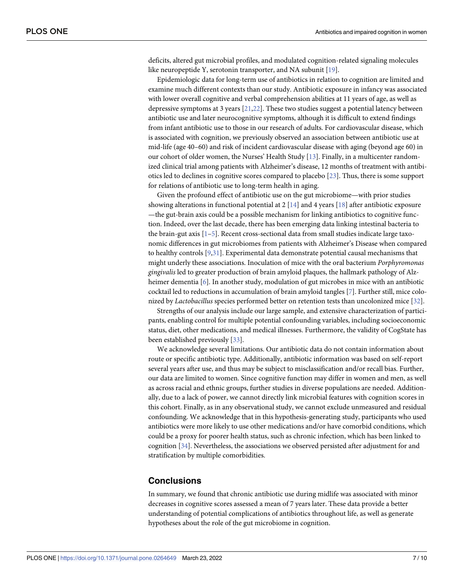<span id="page-6-0"></span>deficits, altered gut microbial profiles, and modulated cognition-related signaling molecules like neuropeptide Y, serotonin transporter, and NA subunit [[19](#page-8-0)].

Epidemiologic data for long-term use of antibiotics in relation to cognition are limited and examine much different contexts than our study. Antibiotic exposure in infancy was associated with lower overall cognitive and verbal comprehension abilities at 11 years of age, as well as depressive symptoms at 3 years  $[21,22]$  $[21,22]$ . These two studies suggest a potential latency between antibiotic use and later neurocognitive symptoms, although it is difficult to extend findings from infant antibiotic use to those in our research of adults. For cardiovascular disease, which is associated with cognition, we previously observed an association between antibiotic use at mid-life (age 40–60) and risk of incident cardiovascular disease with aging (beyond age 60) in our cohort of older women, the Nurses' Health Study [[13](#page-8-0)]. Finally, in a multicenter randomized clinical trial among patients with Alzheimer's disease, 12 months of treatment with antibiotics led to declines in cognitive scores compared to placebo [\[23\]](#page-8-0). Thus, there is some support for relations of antibiotic use to long-term health in aging.

Given the profound effect of antibiotic use on the gut microbiome—with prior studies showing alterations in functional potential at 2 [[14](#page-8-0)] and 4 years [\[18\]](#page-8-0) after antibiotic exposure —the gut-brain axis could be a possible mechanism for linking antibiotics to cognitive function. Indeed, over the last decade, there has been emerging data linking intestinal bacteria to the brain-gut axis [\[1–5](#page-7-0)]. Recent cross-sectional data from small studies indicate large taxonomic differences in gut microbiomes from patients with Alzheimer's Disease when compared to healthy controls [[9,](#page-8-0)[31](#page-9-0)]. Experimental data demonstrate potential causal mechanisms that might underly these associations. Inoculation of mice with the oral bacterium *Porphyromonas gingivalis* led to greater production of brain amyloid plaques, the hallmark pathology of Alz-heimer dementia [[6](#page-7-0)]. In another study, modulation of gut microbes in mice with an antibiotic cocktail led to reductions in accumulation of brain amyloid tangles [\[7](#page-7-0)]. Further still, mice colonized by *Lactobacillus* species performed better on retention tests than uncolonized mice [[32](#page-9-0)].

Strengths of our analysis include our large sample, and extensive characterization of participants, enabling control for multiple potential confounding variables, including socioeconomic status, diet, other medications, and medical illnesses. Furthermore, the validity of CogState has been established previously [\[33\]](#page-9-0).

We acknowledge several limitations. Our antibiotic data do not contain information about route or specific antibiotic type. Additionally, antibiotic information was based on self-report several years after use, and thus may be subject to misclassification and/or recall bias. Further, our data are limited to women. Since cognitive function may differ in women and men, as well as across racial and ethnic groups, further studies in diverse populations are needed. Additionally, due to a lack of power, we cannot directly link microbial features with cognition scores in this cohort. Finally, as in any observational study, we cannot exclude unmeasured and residual confounding. We acknowledge that in this hypothesis-generating study, participants who used antibiotics were more likely to use other medications and/or have comorbid conditions, which could be a proxy for poorer health status, such as chronic infection, which has been linked to cognition [[34](#page-9-0)]. Nevertheless, the associations we observed persisted after adjustment for and stratification by multiple comorbidities.

### **Conclusions**

In summary, we found that chronic antibiotic use during midlife was associated with minor decreases in cognitive scores assessed a mean of 7 years later. These data provide a better understanding of potential complications of antibiotics throughout life, as well as generate hypotheses about the role of the gut microbiome in cognition.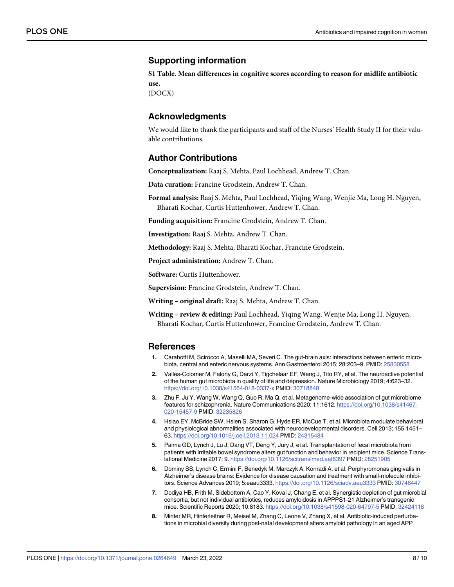## <span id="page-7-0"></span>**Supporting information**

**S1 [Table.](http://www.plosone.org/article/fetchSingleRepresentation.action?uri=info:doi/10.1371/journal.pone.0264649.s001) Mean differences in cognitive scores according to reason for midlife antibiotic use.** (DOCX)

**Acknowledgments**

We would like to thank the participants and staff of the Nurses' Health Study II for their valuable contributions.

# **Author Contributions**

**Conceptualization:** Raaj S. Mehta, Paul Lochhead, Andrew T. Chan.

**Data curation:** Francine Grodstein, Andrew T. Chan.

**Formal analysis:** Raaj S. Mehta, Paul Lochhead, Yiqing Wang, Wenjie Ma, Long H. Nguyen, Bharati Kochar, Curtis Huttenhower, Andrew T. Chan.

**Funding acquisition:** Francine Grodstein, Andrew T. Chan.

**Investigation:** Raaj S. Mehta, Andrew T. Chan.

**Methodology:** Raaj S. Mehta, Bharati Kochar, Francine Grodstein.

**Project administration:** Andrew T. Chan.

**Software:** Curtis Huttenhower.

**Supervision:** Francine Grodstein, Andrew T. Chan.

**Writing – original draft:** Raaj S. Mehta, Andrew T. Chan.

**Writing – review & editing:** Paul Lochhead, Yiqing Wang, Wenjie Ma, Long H. Nguyen, Bharati Kochar, Curtis Huttenhower, Francine Grodstein, Andrew T. Chan.

#### **References**

- **[1](#page-6-0).** Carabotti M, Scirocco A, Maselli MA, Severi C. The gut-brain axis: interactions between enteric microbiota, central and enteric nervous systems. Ann Gastroenterol 2015; 28:203–9. PMID: [25830558](http://www.ncbi.nlm.nih.gov/pubmed/25830558)
- **[2](#page-0-0).** Valles-Colomer M, Falony G, Darzi Y, Tigchelaar EF, Wang J, Tito RY, et al. The neuroactive potential of the human gut microbiota in quality of life and depression. Nature Microbiology 2019; 4:623–32. <https://doi.org/10.1038/s41564-018-0337-x> PMID: [30718848](http://www.ncbi.nlm.nih.gov/pubmed/30718848)
- **[3](#page-0-0).** Zhu F, Ju Y, Wang W, Wang Q, Guo R, Ma Q, et al. Metagenome-wide association of gut microbiome features for schizophrenia. Nature Communications 2020; 11:1612. [https://doi.org/10.1038/s41467-](https://doi.org/10.1038/s41467-020-15457-9) [020-15457-9](https://doi.org/10.1038/s41467-020-15457-9) PMID: [32235826](http://www.ncbi.nlm.nih.gov/pubmed/32235826)
- **[4](#page-0-0).** Hsiao EY, McBride SW, Hsien S, Sharon G, Hyde ER, McCue T, et al. Microbiota modulate behavioral and physiological abnormalities associated with neurodevelopmental disorders. Cell 2013; 155:1451– 63. <https://doi.org/10.1016/j.cell.2013.11.024> PMID: [24315484](http://www.ncbi.nlm.nih.gov/pubmed/24315484)
- **[5](#page-6-0).** Palma GD, Lynch J, Lu J, Dang VT, Deng Y, Jury J, et al. Transplantation of fecal microbiota from patients with irritable bowel syndrome alters gut function and behavior in recipient mice. Science Translational Medicine 2017; 9. <https://doi.org/10.1126/scitranslmed.aaf6397> PMID: [28251905](http://www.ncbi.nlm.nih.gov/pubmed/28251905)
- **[6](#page-6-0).** Dominy SS, Lynch C, Ermini F, Benedyk M, Marczyk A, Konradi A, et al. Porphyromonas gingivalis in Alzheimer's disease brains: Evidence for disease causation and treatment with small-molecule inhibitors. Science Advances 2019; 5:eaau3333. <https://doi.org/10.1126/sciadv.aau3333> PMID: [30746447](http://www.ncbi.nlm.nih.gov/pubmed/30746447)
- **[7](#page-1-0).** Dodiya HB, Frith M, Sidebottom A, Cao Y, Koval J, Chang E, et al. Synergistic depletion of gut microbial consortia, but not individual antibiotics, reduces amyloidosis in APPPS1-21 Alzheimer's transgenic mice. Scientific Reports 2020; 10:8183. <https://doi.org/10.1038/s41598-020-64797-5> PMID: [32424118](http://www.ncbi.nlm.nih.gov/pubmed/32424118)
- **[8](#page-1-0).** Minter MR, Hinterleitner R, Meisel M, Zhang C, Leone V, Zhang X, et al. Antibiotic-induced perturbations in microbial diversity during post-natal development alters amyloid pathology in an aged APP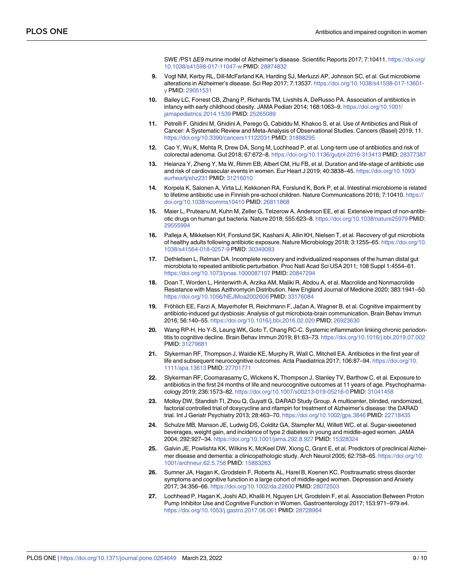SWE /PS1 ΔE9 murine model of Alzheimer's disease. Scientific Reports 2017; 7:10411. [https://doi.org/](https://doi.org/10.1038/s41598-017-11047-w) [10.1038/s41598-017-11047-w](https://doi.org/10.1038/s41598-017-11047-w) PMID: [28874832](http://www.ncbi.nlm.nih.gov/pubmed/28874832)

- <span id="page-8-0"></span>**[9](#page-6-0).** Vogt NM, Kerby RL, Dill-McFarland KA, Harding SJ, Merluzzi AP, Johnson SC, et al. Gut microbiome alterations in Alzheimer's disease. Sci Rep 2017; 7:13537. [https://doi.org/10.1038/s41598-017-13601](https://doi.org/10.1038/s41598-017-13601-y) [y](https://doi.org/10.1038/s41598-017-13601-y) PMID: [29051531](http://www.ncbi.nlm.nih.gov/pubmed/29051531)
- **[10](#page-1-0).** Bailey LC, Forrest CB, Zhang P, Richards TM, Livshits A, DeRusso PA. Association of antibiotics in infancy with early childhood obesity. JAMA Pediatr 2014; 168:1063–9. [https://doi.org/10.1001/](https://doi.org/10.1001/jamapediatrics.2014.1539) [jamapediatrics.2014.1539](https://doi.org/10.1001/jamapediatrics.2014.1539) PMID: [25265089](http://www.ncbi.nlm.nih.gov/pubmed/25265089)
- **[11](#page-1-0).** Petrelli F, Ghidini M, Ghidini A, Perego G, Cabiddu M, Khakoo S, et al. Use of Antibiotics and Risk of Cancer: A Systematic Review and Meta-Analysis of Observational Studies. Cancers (Basel) 2019; 11. <https://doi.org/10.3390/cancers11122031> PMID: [31888295](http://www.ncbi.nlm.nih.gov/pubmed/31888295)
- **[12](#page-1-0).** Cao Y, Wu K, Mehta R, Drew DA, Song M, Lochhead P, et al. Long-term use of antibiotics and risk of colorectal adenoma. Gut 2018; 67:672–8. <https://doi.org/10.1136/gutjnl-2016-313413> PMID: [28377387](http://www.ncbi.nlm.nih.gov/pubmed/28377387)
- **[13](#page-6-0).** Heianza Y, Zheng Y, Ma W, Rimm EB, Albert CM, Hu FB, et al. Duration and life-stage of antibiotic use and risk of cardiovascular events in women. Eur Heart J 2019; 40:3838–45. [https://doi.org/10.1093/](https://doi.org/10.1093/eurheartj/ehz231) [eurheartj/ehz231](https://doi.org/10.1093/eurheartj/ehz231) PMID: [31216010](http://www.ncbi.nlm.nih.gov/pubmed/31216010)
- **[14](#page-1-0).** Korpela K, Salonen A, Virta LJ, Kekkonen RA, Forslund K, Bork P, et al. Intestinal microbiome is related to lifetime antibiotic use in Finnish pre-school children. Nature Communications 2016; 7:10410. [https://](https://doi.org/10.1038/ncomms10410) [doi.org/10.1038/ncomms10410](https://doi.org/10.1038/ncomms10410) PMID: [26811868](http://www.ncbi.nlm.nih.gov/pubmed/26811868)
- **[15](#page-1-0).** Maier L, Pruteanu M, Kuhn M, Zeller G, Telzerow A, Anderson EE, et al. Extensive impact of non-antibiotic drugs on human gut bacteria. Nature 2018; 555:623–8. <https://doi.org/10.1038/nature25979> PMID: [29555994](http://www.ncbi.nlm.nih.gov/pubmed/29555994)
- **[16](#page-1-0).** Palleja A, Mikkelsen KH, Forslund SK, Kashani A, Allin KH, Nielsen T, et al. Recovery of gut microbiota of healthy adults following antibiotic exposure. Nature Microbiology 2018; 3:1255–65. [https://doi.org/10.](https://doi.org/10.1038/s41564-018-0257-9) [1038/s41564-018-0257-9](https://doi.org/10.1038/s41564-018-0257-9) PMID: [30349083](http://www.ncbi.nlm.nih.gov/pubmed/30349083)
- **17.** Dethlefsen L, Relman DA. Incomplete recovery and individualized responses of the human distal gut microbiota to repeated antibiotic perturbation. Proc Natl Acad Sci USA 2011; 108 Suppl 1:4554–61. <https://doi.org/10.1073/pnas.1000087107> PMID: [20847294](http://www.ncbi.nlm.nih.gov/pubmed/20847294)
- **[18](#page-6-0).** Doan T, Worden L, Hinterwirth A, Arzika AM, Maliki R, Abdou A, et al. Macrolide and Nonmacrolide Resistance with Mass Azithromycin Distribution. New England Journal of Medicine 2020; 383:1941–50. <https://doi.org/10.1056/NEJMoa2002606> PMID: [33176084](http://www.ncbi.nlm.nih.gov/pubmed/33176084)
- **[19](#page-6-0).** Fröhlich EE, Farzi A, Mayerhofer R, Reichmann F, Jačan A, Wagner B, et al. Cognitive impairment by antibiotic-induced gut dysbiosis: Analysis of gut microbiota-brain communication. Brain Behav Immun 2016; 56:140–55. <https://doi.org/10.1016/j.bbi.2016.02.020> PMID: [26923630](http://www.ncbi.nlm.nih.gov/pubmed/26923630)
- **[20](#page-1-0).** Wang RP-H, Ho Y-S, Leung WK, Goto T, Chang RC-C. Systemic inflammation linking chronic periodontitis to cognitive decline. Brain Behav Immun 2019; 81:63–73. <https://doi.org/10.1016/j.bbi.2019.07.002> PMID: [31279681](http://www.ncbi.nlm.nih.gov/pubmed/31279681)
- **[21](#page-6-0).** Slykerman RF, Thompson J, Waldie KE, Murphy R, Wall C, Mitchell EA. Antibiotics in the first year of life and subsequent neurocognitive outcomes. Acta Paediatrica 2017; 106:87–94. [https://doi.org/10.](https://doi.org/10.1111/apa.13613) [1111/apa.13613](https://doi.org/10.1111/apa.13613) PMID: [27701771](http://www.ncbi.nlm.nih.gov/pubmed/27701771)
- **[22](#page-6-0).** Slykerman RF, Coomarasamy C, Wickens K, Thompson J, Stanley TV, Barthow C, et al. Exposure to antibiotics in the first 24 months of life and neurocognitive outcomes at 11 years of age. Psychopharmacology 2019; 236:1573–82. <https://doi.org/10.1007/s00213-019-05216-0> PMID: [31041458](http://www.ncbi.nlm.nih.gov/pubmed/31041458)
- **[23](#page-6-0).** Molloy DW, Standish TI, Zhou Q, Guyatt G, DARAD Study Group. A multicenter, blinded, randomized, factorial controlled trial of doxycycline and rifampin for treatment of Alzheimer's disease: the DARAD trial. Int J Geriatr Psychiatry 2013; 28:463–70. <https://doi.org/10.1002/gps.3846> PMID: [22718435](http://www.ncbi.nlm.nih.gov/pubmed/22718435)
- **[24](#page-1-0).** Schulze MB, Manson JE, Ludwig DS, Colditz GA, Stampfer MJ, Willett WC, et al. Sugar-sweetened beverages, weight gain, and incidence of type 2 diabetes in young and middle-aged women. JAMA 2004; 292:927–34. <https://doi.org/10.1001/jama.292.8.927> PMID: [15328324](http://www.ncbi.nlm.nih.gov/pubmed/15328324)
- **[25](#page-1-0).** Galvin JE, Powlishta KK, Wilkins K, McKeel DW, Xiong C, Grant E, et al. Predictors of preclinical Alzheimer disease and dementia: a clinicopathologic study. Arch Neurol 2005; 62:758–65. [https://doi.org/10.](https://doi.org/10.1001/archneur.62.5.758) [1001/archneur.62.5.758](https://doi.org/10.1001/archneur.62.5.758) PMID: [15883263](http://www.ncbi.nlm.nih.gov/pubmed/15883263)
- **[26](#page-2-0).** Sumner JA, Hagan K, Grodstein F, Roberts AL, Harel B, Koenen KC. Posttraumatic stress disorder symptoms and cognitive function in a large cohort of middle-aged women. Depression and Anxiety 2017; 34:356–66. <https://doi.org/10.1002/da.22600> PMID: [28072503](http://www.ncbi.nlm.nih.gov/pubmed/28072503)
- **[27](#page-2-0).** Lochhead P, Hagan K, Joshi AD, Khalili H, Nguyen LH, Grodstein F, et al. Association Between Proton Pump Inhibitor Use and Cognitive Function in Women. Gastroenterology 2017; 153:971–979.e4. <https://doi.org/10.1053/j.gastro.2017.06.061> PMID: [28728964](http://www.ncbi.nlm.nih.gov/pubmed/28728964)